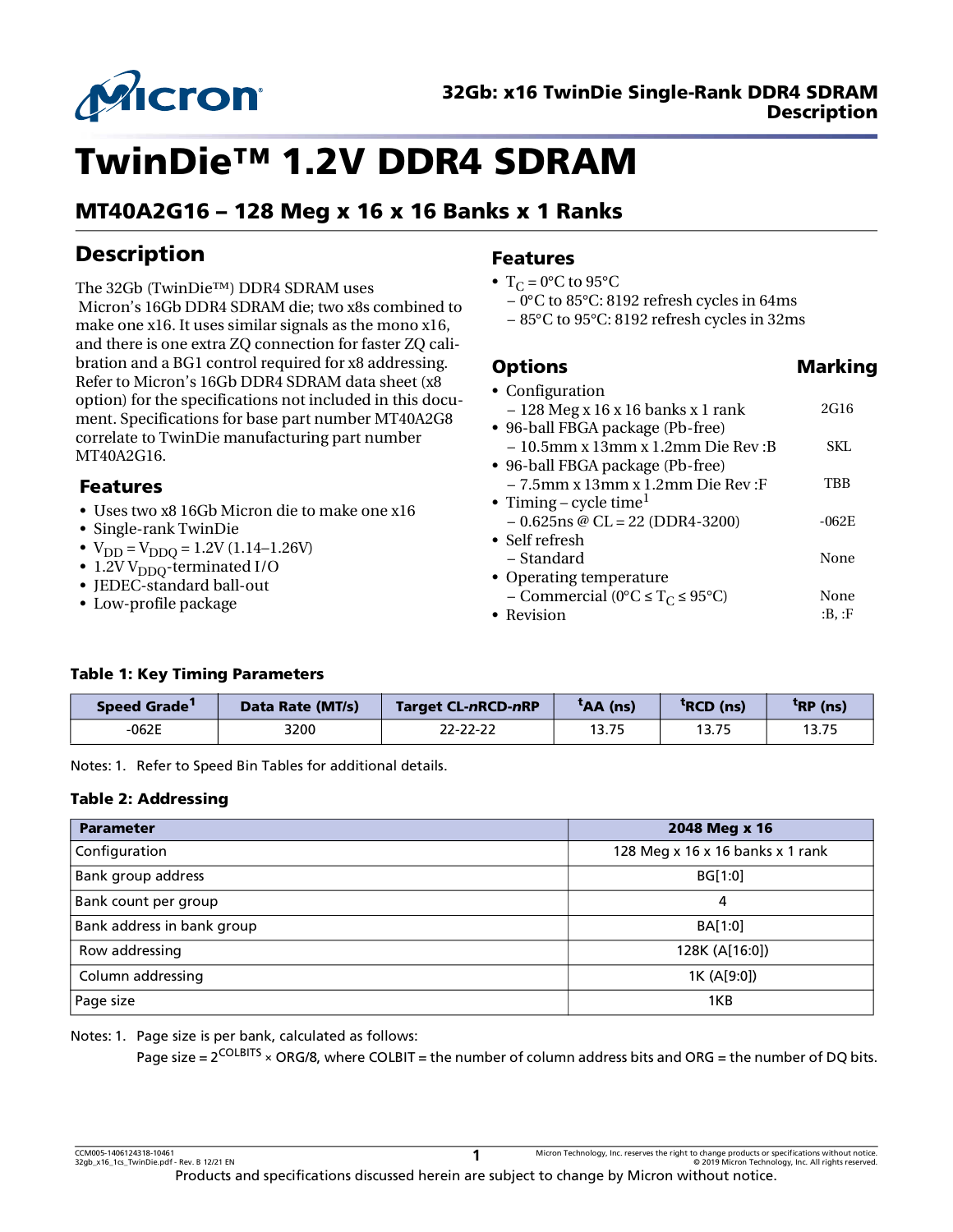

# TwinDie™ 1.2V DDR4 SDRAM

## MT40A2G16 – 128 Meg x 16 x 16 Banks x 1 Ranks

## Description

The 32Gb (TwinDie™) DDR4 SDRAM uses Micron's 16Gb DDR4 SDRAM die; two x8s combined to make one x16. It uses similar signals as the mono x16, and there is one extra ZQ connection for faster ZQ calibration and a BG1 control required for x8 addressing. Refer to Micron's 16Gb DDR4 SDRAM data sheet (x8 option) for the specifications not included in this document. Specifications for base part number MT40A2G8 correlate to TwinDie manufacturing part number MT40A2G16.

#### Features

- Uses two x8 16Gb Micron die to make one x16
- Single-rank TwinDie
- $V_{DD} = V_{DDQ} = 1.2V (1.14 1.26V)$
- $\bullet$  1.2V V<sub>DDQ</sub>-terminated I/O
- JEDEC-standard ball-out
- Low-profile package

#### Features

•  $T_C = 0$ °C to 95°C – 0°C to 85°C: 8192 refresh cycles in 64ms – 85°C to 95°C: 8192 refresh cycles in 32ms

#### Options **Marking**

| • Configuration                                      |         |
|------------------------------------------------------|---------|
| $-128$ Meg x 16 x 16 banks x 1 rank                  | 2G16    |
| • 96-ball FBGA package (Pb-free)                     |         |
| $-10.5$ mm x $13$ mm x $1.2$ mm Die Rev $:$ B        | SKT.    |
| • 96-ball FBGA package (Pb-free)                     |         |
| $-7.5$ mm x $13$ mm x $1.2$ mm Die Rev:F             | TBB     |
| • Timing – cycle time <sup>1</sup>                   |         |
| $-0.625$ ns @ CL = 22 (DDR4-3200)                    | $-062E$ |
| • Self refresh                                       |         |
| – Standard                                           | None    |
| • Operating temperature                              |         |
| - Commercial (0°C $\leq$ T <sub>C</sub> $\leq$ 95°C) | None    |
| • Revision                                           | :B. :F  |

#### Table 1: Key Timing Parameters

| Speed Grade <sup>1</sup> | Data Rate (MT/s) | <b>Target CL-nRCD-nRP</b> | <sup>t</sup> AA (ns) | <sup>T</sup> RCD (ns) | <sup>T</sup> RP (ns) |
|--------------------------|------------------|---------------------------|----------------------|-----------------------|----------------------|
| $-062E$                  | 3200             | 22-22-22                  | 13.75                | 13.75                 | 13.75                |

<span id="page-0-0"></span>Notes: 1. Refer to Speed Bin Tables for additional details.

#### Table 2: Addressing

| <b>Parameter</b>           | 2048 Meg x 16                    |
|----------------------------|----------------------------------|
| Configuration              | 128 Meg x 16 x 16 banks x 1 rank |
| Bank group address         | BG[1:0]                          |
| Bank count per group       | 4                                |
| Bank address in bank group | BA[1:0]                          |
| Row addressing             | 128K (A[16:0])                   |
| Column addressing          | 1K (A[9:0])                      |
| Page size                  | 1KB                              |

Notes: 1. Page size is per bank, calculated as follows:

Page size =  $2^{\text{COLBITS}}$  × ORG/8, where COLBIT = the number of column address bits and ORG = the number of DQ bits.

CCM005-1406124318-10461 Micron Technology, Inc. reserves the right to change products or specifications without notice. 32gb\_x16\_1cs\_TwinDie.pdf - Rev. B 12/21 EN © 2019 Micron Technology, Inc. All rights reserved.

Products and specifications discussed herein are subject to change by Micron without notice. **1**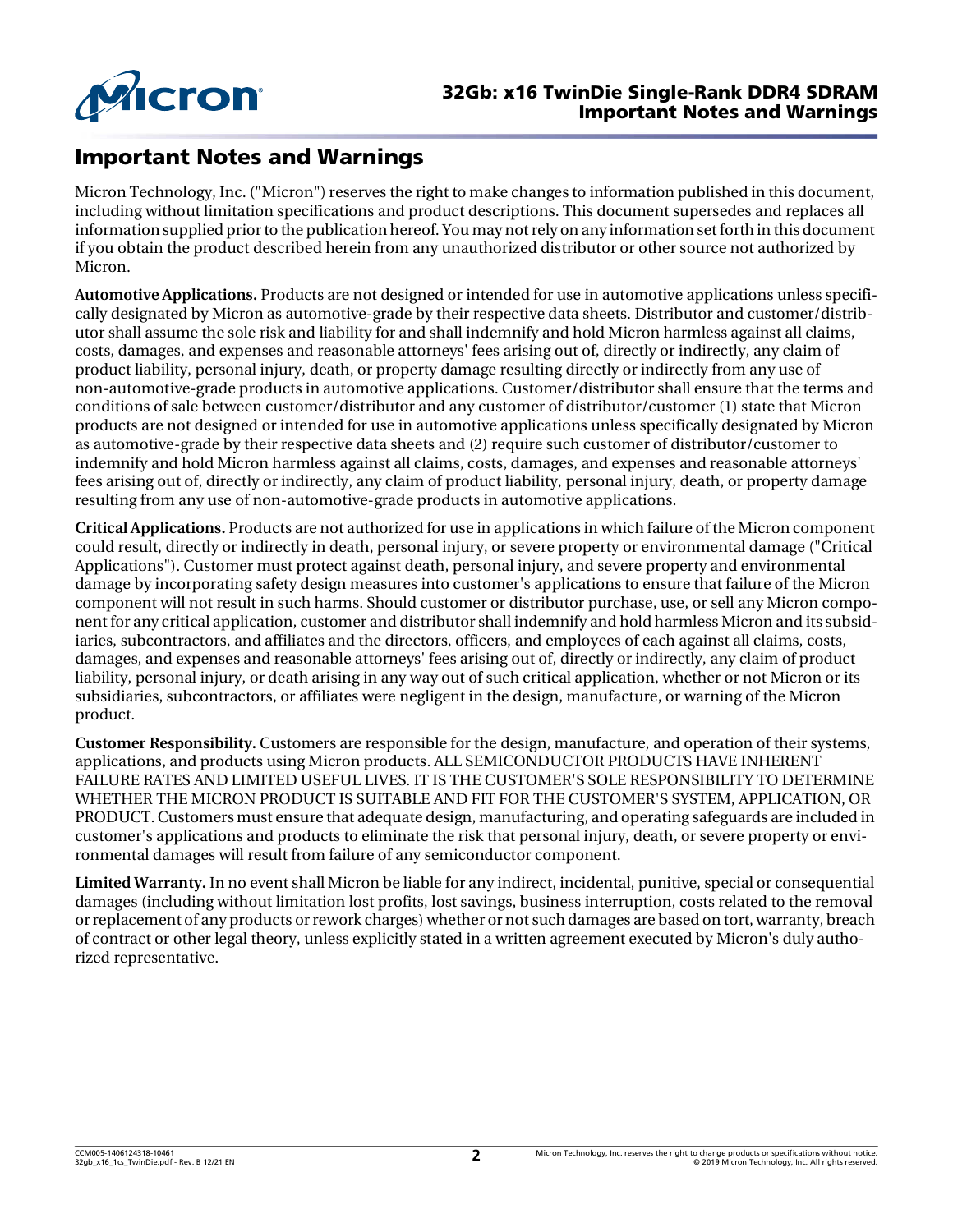

## Important Notes and Warnings

Micron Technology, Inc. ("Micron") reserves the right to make changes to information published in this document, including without limitation specifications and product descriptions. This document supersedes and replaces all information supplied prior to the publication hereof. You may not rely on any information set forth in this document if you obtain the product described herein from any unauthorized distributor or other source not authorized by Micron.

**Automotive Applications.** Products are not designed or intended for use in automotive applications unless specifically designated by Micron as automotive-grade by their respective data sheets. Distributor and customer/distributor shall assume the sole risk and liability for and shall indemnify and hold Micron harmless against all claims, costs, damages, and expenses and reasonable attorneys' fees arising out of, directly or indirectly, any claim of product liability, personal injury, death, or property damage resulting directly or indirectly from any use of non-automotive-grade products in automotive applications. Customer/distributor shall ensure that the terms and conditions of sale between customer/distributor and any customer of distributor/customer (1) state that Micron products are not designed or intended for use in automotive applications unless specifically designated by Micron as automotive-grade by their respective data sheets and (2) require such customer of distributor/customer to indemnify and hold Micron harmless against all claims, costs, damages, and expenses and reasonable attorneys' fees arising out of, directly or indirectly, any claim of product liability, personal injury, death, or property damage resulting from any use of non-automotive-grade products in automotive applications.

**Critical Applications.** Products are not authorized for use in applications in which failure of the Micron component could result, directly or indirectly in death, personal injury, or severe property or environmental damage ("Critical Applications"). Customer must protect against death, personal injury, and severe property and environmental damage by incorporating safety design measures into customer's applications to ensure that failure of the Micron component will not result in such harms. Should customer or distributor purchase, use, or sell any Micron component for any critical application, customer and distributor shall indemnify and hold harmless Micron and its subsidiaries, subcontractors, and affiliates and the directors, officers, and employees of each against all claims, costs, damages, and expenses and reasonable attorneys' fees arising out of, directly or indirectly, any claim of product liability, personal injury, or death arising in any way out of such critical application, whether or not Micron or its subsidiaries, subcontractors, or affiliates were negligent in the design, manufacture, or warning of the Micron product.

**Customer Responsibility.** Customers are responsible for the design, manufacture, and operation of their systems, applications, and products using Micron products. ALL SEMICONDUCTOR PRODUCTS HAVE INHERENT FAILURE RATES AND LIMITED USEFUL LIVES. IT IS THE CUSTOMER'S SOLE RESPONSIBILITY TO DETERMINE WHETHER THE MICRON PRODUCT IS SUITABLE AND FIT FOR THE CUSTOMER'S SYSTEM, APPLICATION, OR PRODUCT.Customers must ensure that adequate design, manufacturing, and operating safeguards are included in customer's applications and products to eliminate the risk that personal injury, death, or severe property or environmental damages will result from failure of any semiconductor component.

**Limited Warranty.** In no event shall Micron be liable for any indirect, incidental, punitive, special or consequential damages (including without limitation lost profits, lost savings, business interruption, costs related to the removal orreplacement of any products orrework charges) whether or not such damages are based on tort, warranty, breach of contract or other legal theory, unless explicitly stated in a written agreement executed by Micron's duly authorized representative.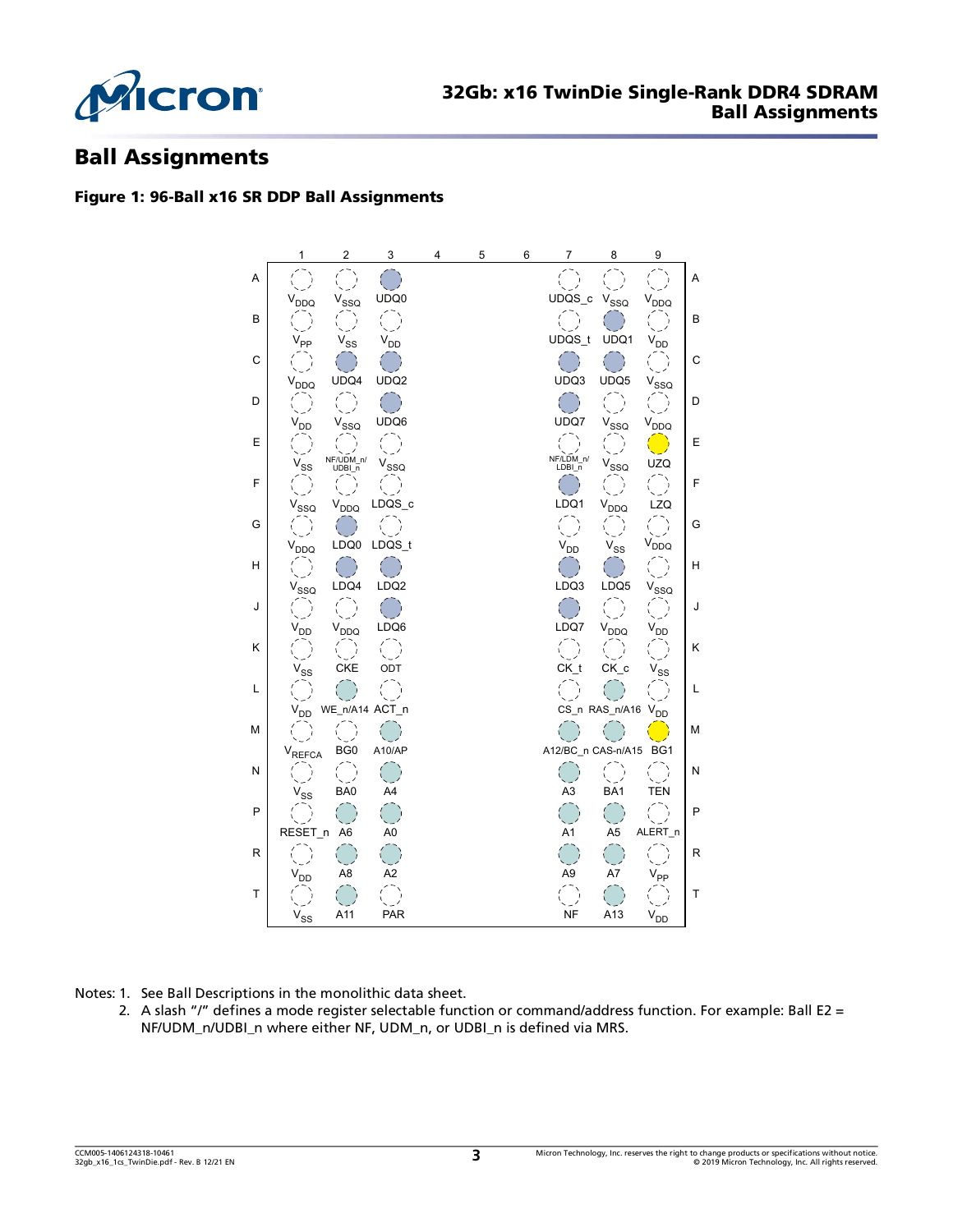

## Ball Assignments

#### Figure 1: 96-Ball x16 SR DDP Ball Assignments



Notes: 1. See Ball Descriptions in the monolithic data sheet.

2. A slash "/" defines a mode register selectable function or command/address function. For example: Ball E2 = NF/UDM\_n/UDBI\_n where either NF, UDM\_n, or UDBI\_n is defined via MRS.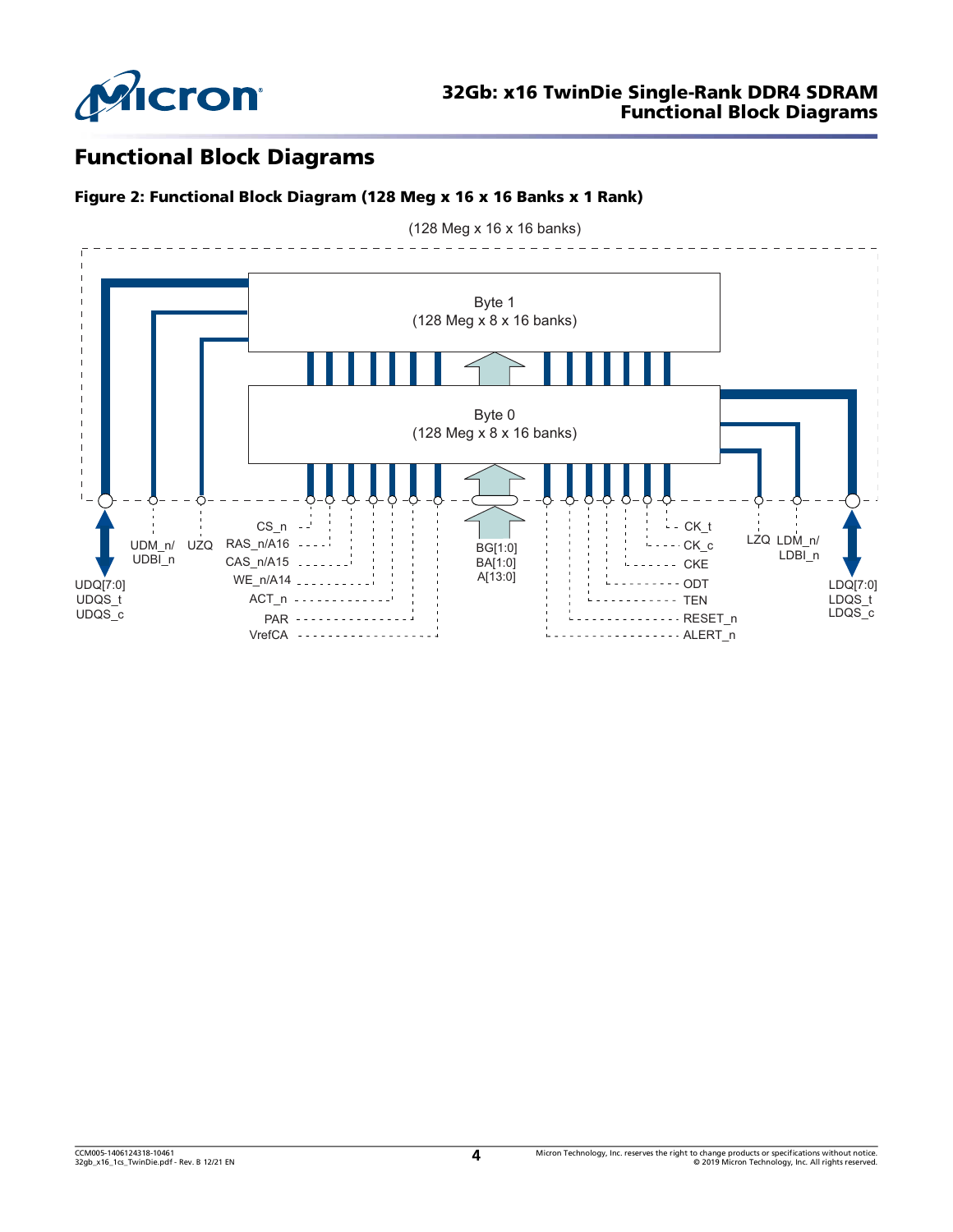

## Functional Block Diagrams

#### Figure 2: Functional Block Diagram (128 Meg x 16 x 16 Banks x 1 Rank)

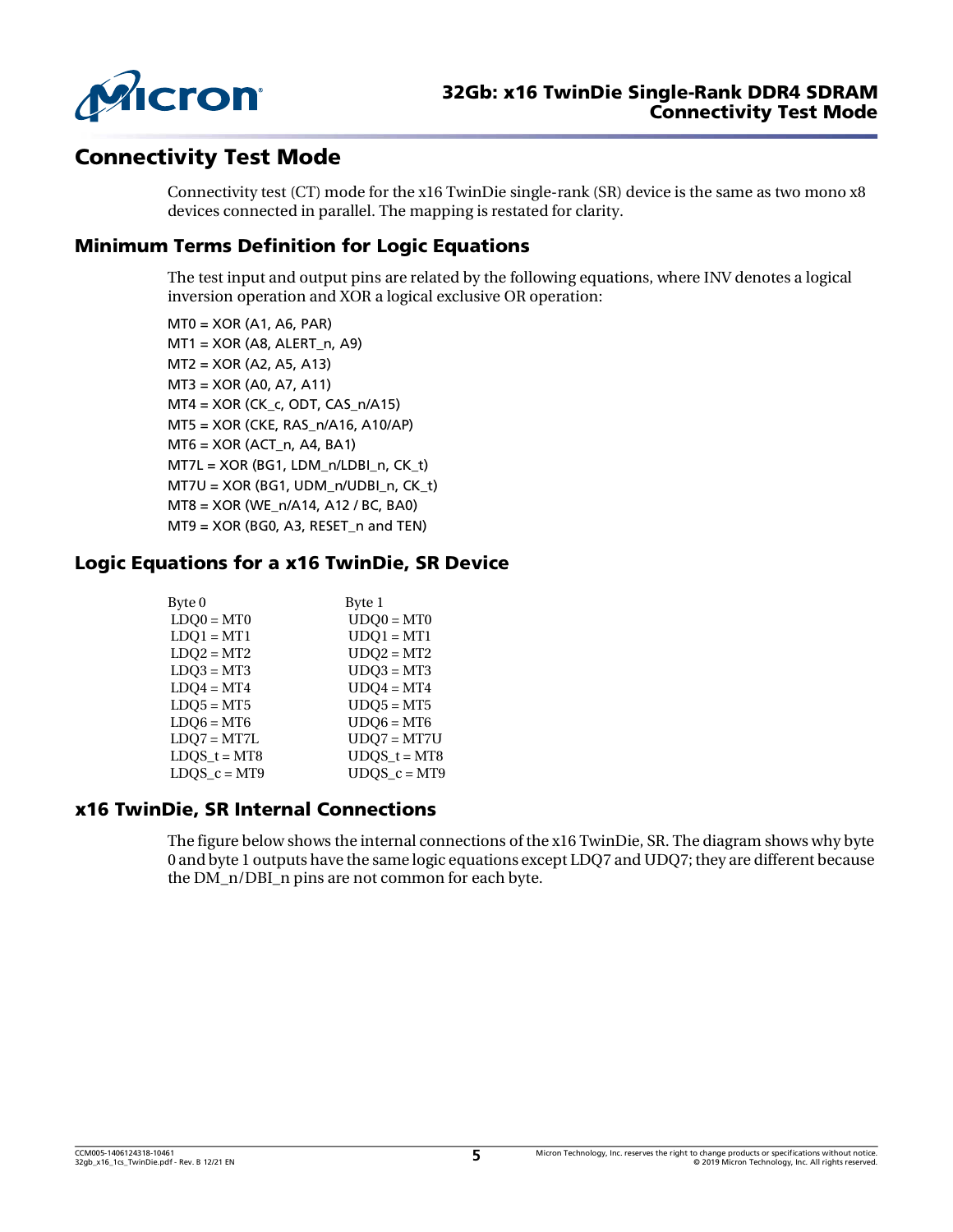

## Connectivity Test Mode

Connectivity test (CT) mode for the x16 TwinDie single-rank (SR) device is the same as two mono x8 devices connected in parallel. The mapping is restated for clarity.

#### Minimum Terms Definition for Logic Equations

The test input and output pins are related by the following equations, where INV denotes a logical inversion operation and XOR a logical exclusive OR operation:

MT0 = XOR (A1, A6, PAR) MT1 = XOR (A8, ALERT\_n, A9) MT2 = XOR (A2, A5, A13) MT3 = XOR (A0, A7, A11)  $MT4 = XOR (CK_c, ODT, CAS_n/415)$ MT5 = XOR (CKE, RAS\_n/A16, A10/AP) MT6 = XOR (ACT\_n, A4, BA1) MT7L = XOR (BG1, LDM\_n/LDBI\_n, CK\_t)  $MT7U = XOR (BG1, UDM n/UDBI n, CK t)$ MT8 = XOR (WE\_n/A14, A12 / BC, BA0) MT9 = XOR (BG0, A3, RESET\_n and TEN)

#### Logic Equations for a x16 TwinDie, SR Device

| Byte 1         |
|----------------|
| $UDQ0 = MT0$   |
| $UDQ1 = MT1$   |
| $UDQ2 = MT2$   |
| $UDO3 = MT3$   |
| $UDQ4 = MT4$   |
| $UDO5 = MT5$   |
| $UDO6 = MT6$   |
| $UDQ7 = MT7U$  |
| $UDQS_t = MT8$ |
| $UDQS_c = MT9$ |
|                |

#### x16 TwinDie, SR Internal Connections

The figure below shows the internal connections of the x16 TwinDie, SR. The diagram shows why byte 0 and byte 1 outputs have the same logic equations except LDQ7 and UDQ7;they are different because the DM\_n/DBI\_n pins are not common for each byte.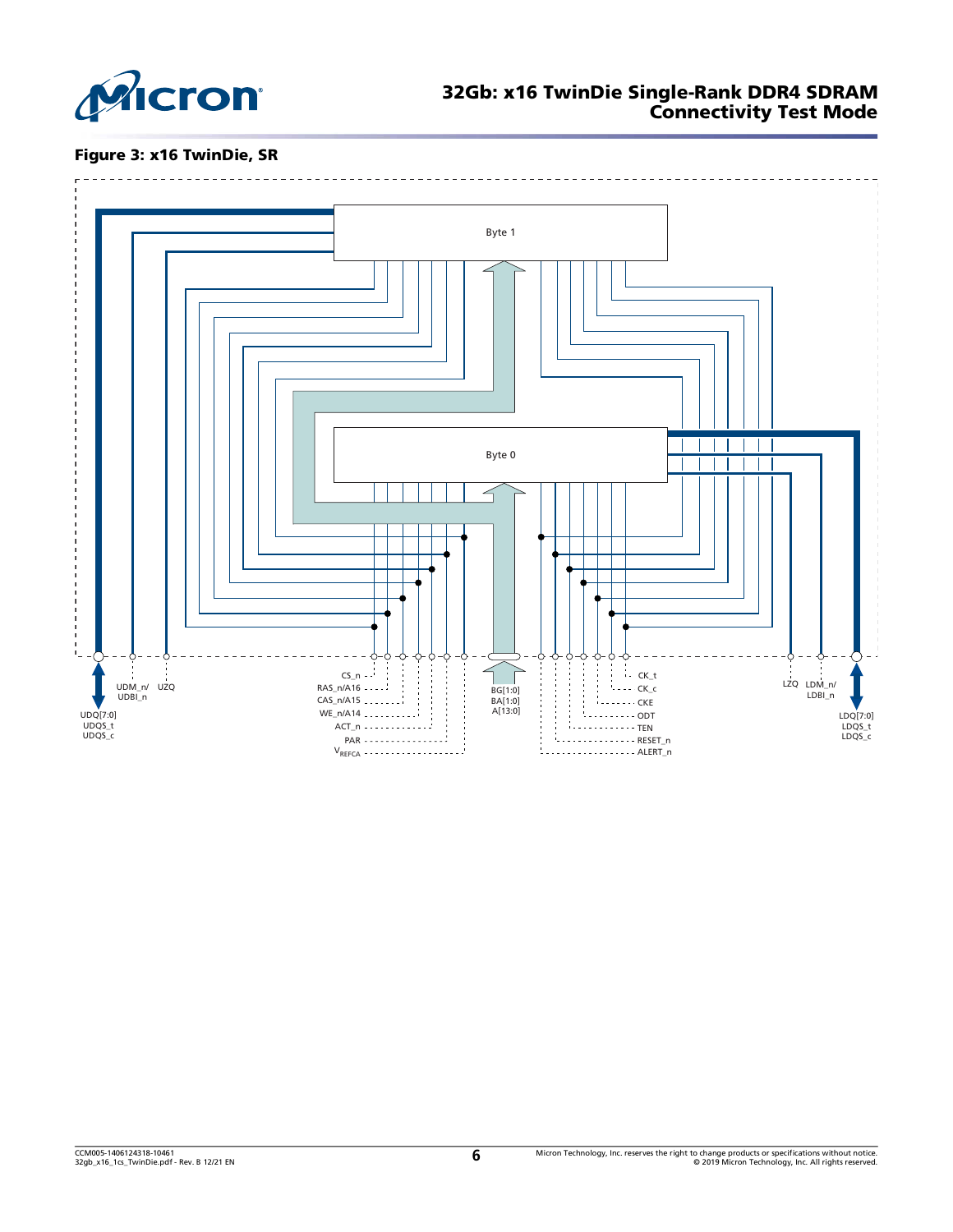

#### 32Gb: x16 TwinDie Single-Rank DDR4 SDRAM Connectivity Test Mode

#### Figure 3: x16 TwinDie, SR

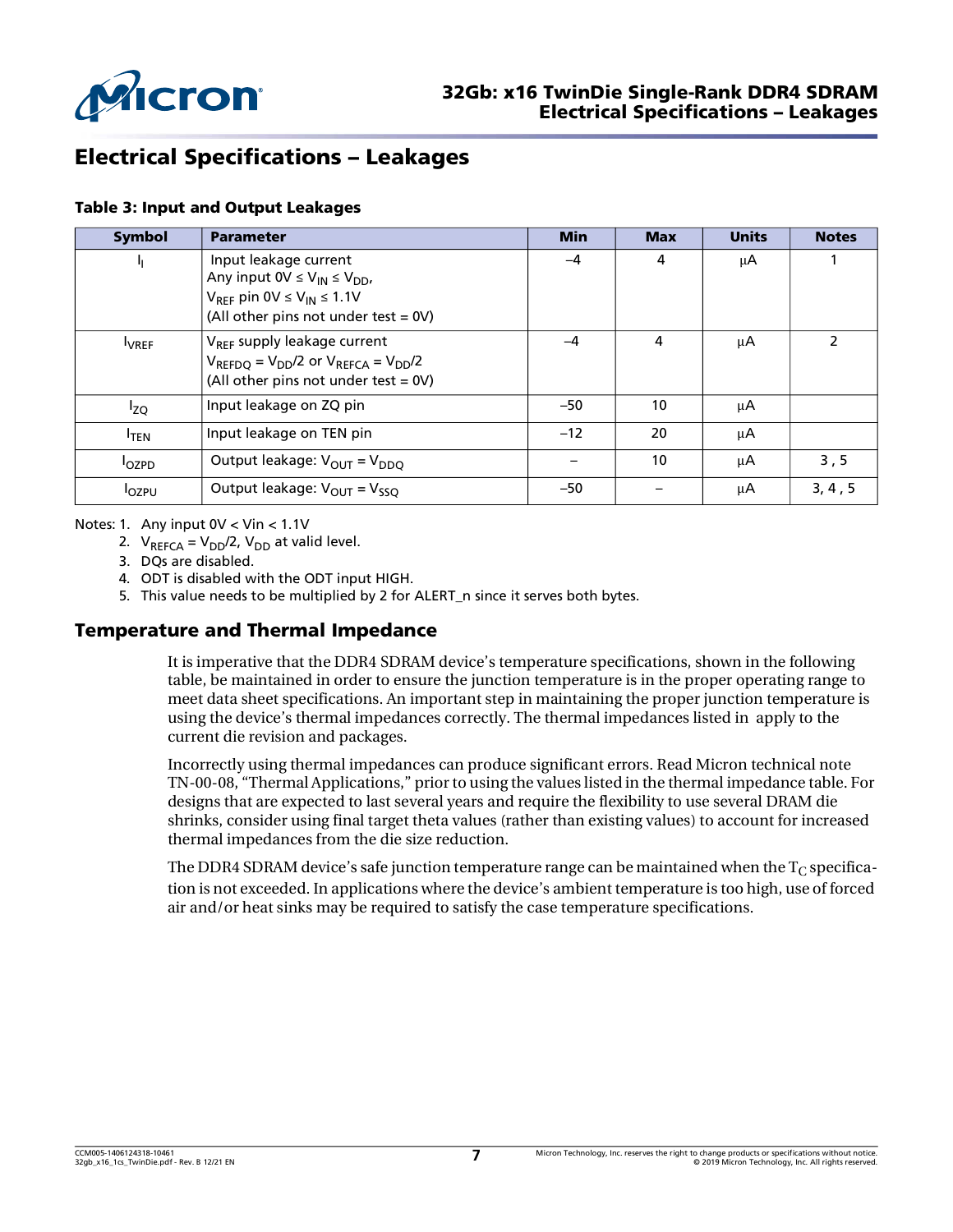

## Electrical Specifications – Leakages

#### Table 3: Input and Output Leakages

| <b>Symbol</b>    | <b>Parameter</b>                                                                                                                                                  | <b>Min</b> | <b>Max</b> | <b>Units</b> | <b>Notes</b>   |
|------------------|-------------------------------------------------------------------------------------------------------------------------------------------------------------------|------------|------------|--------------|----------------|
| 4                | Input leakage current<br>Any input $0V \leq V_{IN} \leq V_{DD}$<br>$V_{RFF}$ pin 0V $\leq$ V <sub>IN</sub> $\leq$ 1.1V<br>(All other pins not under test = $0V$ ) | $-4$       | 4          | μA           |                |
| <b>LVREF</b>     | V <sub>RFF</sub> supply leakage current<br>$V_{REFDO} = V_{DD}/2$ or $V_{REFCA} = V_{DD}/2$<br>(All other pins not under test = $0V$ )                            | $-4$       | 4          | μA           | $\mathfrak{p}$ |
| <sup>I</sup> zo  | Input leakage on ZQ pin                                                                                                                                           | $-50$      | 10         | μA           |                |
| I <sub>TEN</sub> | Input leakage on TEN pin                                                                                                                                          | $-12$      | 20         | μA           |                |
| <b>OZPD</b>      | Output leakage: $V_{OUT} = V_{DDQ}$                                                                                                                               |            | 10         | μA           | 3,5            |
| <b>I</b> OZPU    | Output leakage: $V_{OUT} = V_{SSQ}$                                                                                                                               | $-50$      |            | μA           | 3, 4, 5        |

<span id="page-6-2"></span><span id="page-6-1"></span><span id="page-6-0"></span>Notes: 1. Any input 0V < Vin < 1.1V

- 2.  $V_{REFCA} = V_{DD}/2$ ,  $V_{DD}$  at valid level.
- 3. DQs are disabled.
- <span id="page-6-4"></span>4. ODT is disabled with the ODT input HIGH.
- 5. This value needs to be multiplied by 2 for ALERT\_n since it serves both bytes.

#### <span id="page-6-3"></span>Temperature and Thermal Impedance

It is imperative that the DDR4 SDRAM device's temperature specifications, shown in the following table, be maintained in order to ensure the junction temperature is in the proper operating range to meet data sheet specifications. An important step in maintaining the proper junction temperature is using the device's thermal impedances correctly. The thermal impedances listed in apply to the current die revision and packages.

Incorrectly using thermal impedances can produce significant errors. Read Micron technical note TN-00-08, "Thermal Applications," prior to using the values listed in the thermal impedance table. For designs that are expected to last several years and require the flexibility to use several DRAM die shrinks, consider using final target theta values (rather than existing values) to account for increased thermal impedances from the die size reduction.

The DDR4 SDRAM device's safe junction temperature range can be maintained when the  $T_{\rm C}$  specification is not exceeded. In applications where the device's ambient temperature is too high, use of forced air and/or heat sinks may be required to satisfy the case temperature specifications.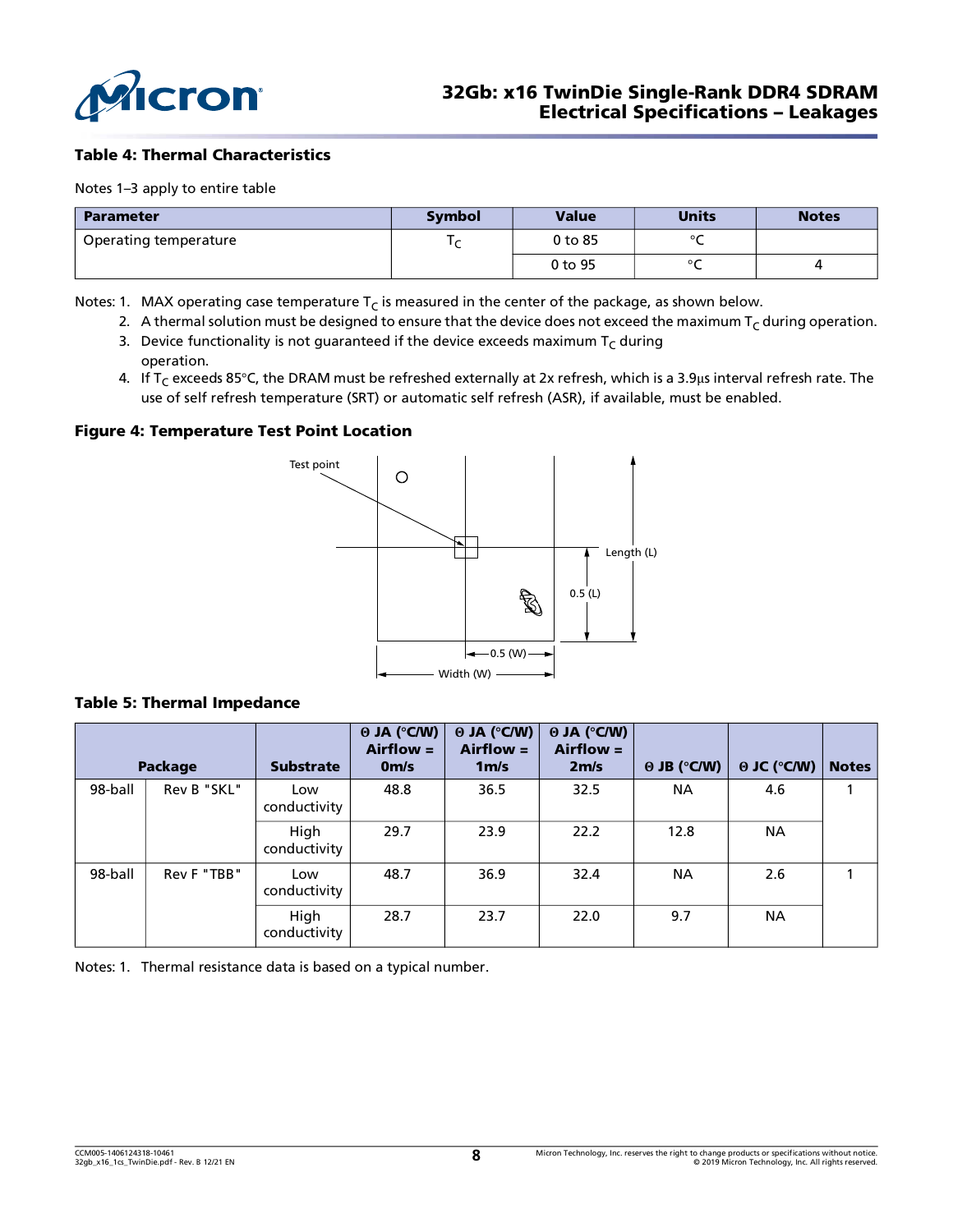

#### Table 4: Thermal Characteristics

Notes 1–3 apply to entire table

| <b>Parameter</b>      | <b>Symbol</b> | <b>Value</b> | <b>Units</b> | <b>Notes</b> |
|-----------------------|---------------|--------------|--------------|--------------|
| Operating temperature |               | 0 to 85      | $\sim$       |              |
|                       |               | 0 to 95      | $\sim$       |              |

Notes: 1. MAX operating case temperature  $T<sub>C</sub>$  is measured in the center of the package, as shown below.

- 2. A thermal solution must be designed to ensure that the device does not exceed the maximum  $T_c$  during operation.
- 3. Device functionality is not guaranteed if the device exceeds maximum  $T_c$  during operation.
- <span id="page-7-0"></span>4. If  $T_c$  exceeds 85°C, the DRAM must be refreshed externally at 2x refresh, which is a 3.9µs interval refresh rate. The use of self refresh temperature (SRT) or automatic self refresh (ASR), if available, must be enabled.

#### Figure 4: Temperature Test Point Location



#### Table 5: Thermal Impedance

|         | Package     | <b>Substrate</b>     | $\Theta$ JA (°C/W)<br>$Airflow =$<br>0 <sub>m/s</sub> | $\Theta$ JA (°C/W)<br>$Airflow =$<br>1 <sub>m/s</sub> | $\Theta$ JA (°C/W)<br>$Airflow =$<br>2m/s | $\Theta$ JB (°C/W) | $\Theta$ JC ( $\degree$ C/W) | <b>Notes</b> |
|---------|-------------|----------------------|-------------------------------------------------------|-------------------------------------------------------|-------------------------------------------|--------------------|------------------------------|--------------|
| 98-ball | Rev B "SKL" | Low<br>conductivity  | 48.8                                                  | 36.5                                                  | 32.5                                      | <b>NA</b>          | 4.6                          |              |
|         |             | High<br>conductivity | 29.7                                                  | 23.9                                                  | 22.2                                      | 12.8               | <b>NA</b>                    |              |
| 98-ball | Rev F "TBB" | Low<br>conductivity  | 48.7                                                  | 36.9                                                  | 32.4                                      | <b>NA</b>          | 2.6                          |              |
|         |             | High<br>conductivity | 28.7                                                  | 23.7                                                  | 22.0                                      | 9.7                | <b>NA</b>                    |              |

<span id="page-7-1"></span>Notes: 1. Thermal resistance data is based on a typical number.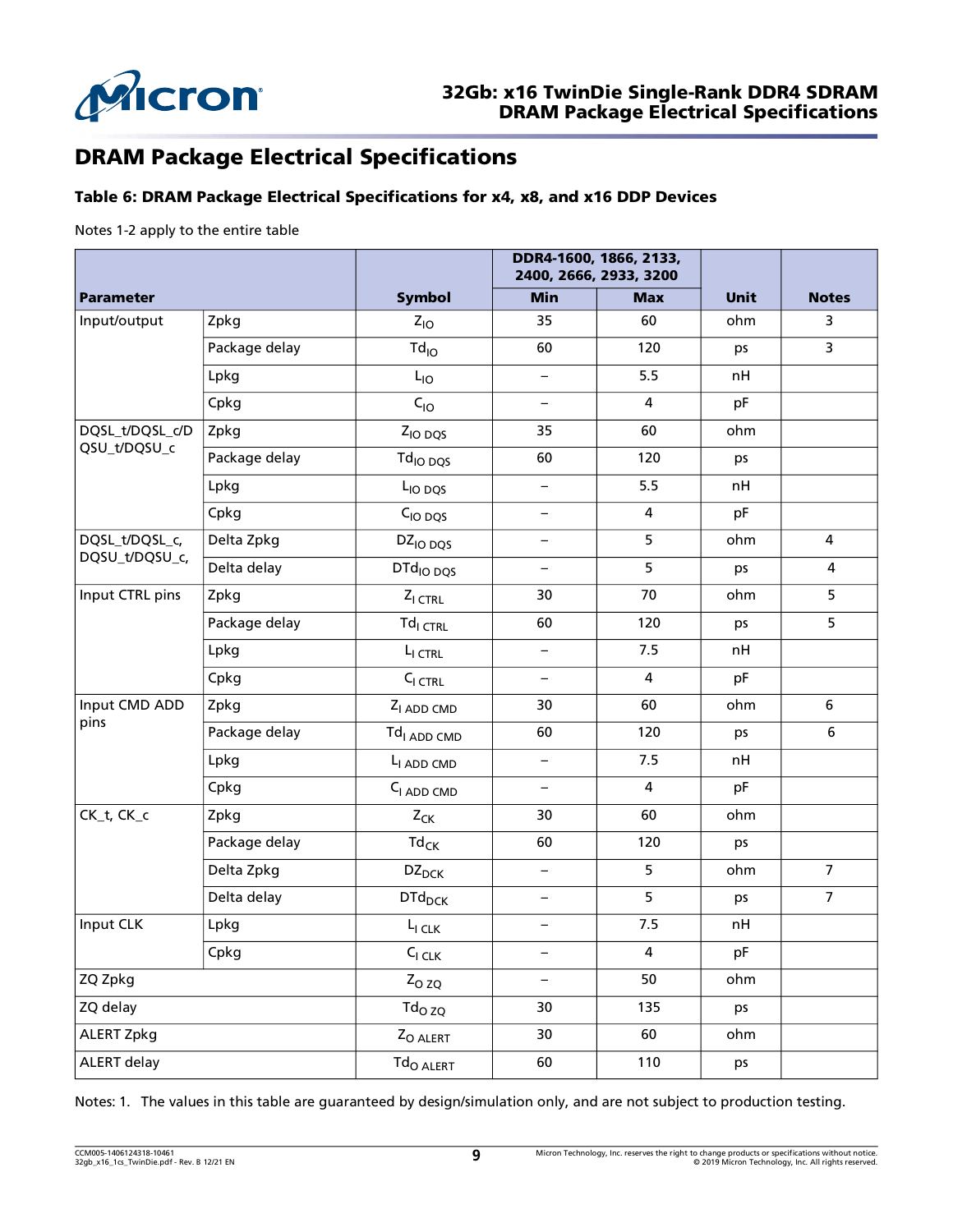

## DRAM Package Electrical Specifications

#### Table 6: DRAM Package Electrical Specifications for x4, x8, and x16 DDP Devices

Notes 1-2 apply to the entire table

|                  |               |                                                                      |                          | DDR4-1600, 1866, 2133,<br>2400, 2666, 2933, 3200 |             |                         |
|------------------|---------------|----------------------------------------------------------------------|--------------------------|--------------------------------------------------|-------------|-------------------------|
| <b>Parameter</b> |               | <b>Symbol</b>                                                        | <b>Min</b>               | <b>Max</b>                                       | <b>Unit</b> | <b>Notes</b>            |
| Input/output     | Zpkg          | $Z_{IO}$                                                             | 35                       | 60                                               | ohm         | 3                       |
|                  | Package delay | $\mathsf{Td}_{\mathsf{IO}}$                                          | 60                       | 120                                              | ps          | $\overline{\mathbf{3}}$ |
|                  | Lpkg          | $L_{IO}$                                                             | $\qquad \qquad -$        | 5.5                                              | nH          |                         |
|                  | Cpkg          | $C_{10}$                                                             | $\overline{\phantom{0}}$ | 4                                                | pF          |                         |
| DQSL_t/DQSL_c/D  | Zpkg          | Z <sub>IO</sub> DQS                                                  | 35                       | 60                                               | ohm         |                         |
| QSU_t/DQSU_c     | Package delay | Td <sub>IO DOS</sub>                                                 | 60                       | 120                                              | ps          |                         |
|                  | Lpkg          | L <sub>IO</sub> DQS                                                  | $\qquad \qquad -$        | 5.5                                              | nH          |                         |
|                  | Cpkg          | $CIO$ pos                                                            | $\qquad \qquad -$        | 4                                                | pF          |                         |
| DQSL_t/DQSL_c,   | Delta Zpkg    | DZ <sub>IO</sub> DOS                                                 | $\qquad \qquad -$        | 5                                                | ohm         | $\overline{\mathbf{4}}$ |
| DQSU_t/DQSU_c,   | Delta delay   | DTd <sub>IO DQS</sub>                                                | $\overline{\phantom{0}}$ | 5                                                | ps          | $\overline{4}$          |
| Input CTRL pins  | Zpkg          | $Z_{I}$ <sub>CTRL</sub>                                              | 30                       | 70                                               | ohm         | 5                       |
|                  | Package delay | $Tdl$ <sub>CTRL</sub>                                                | 60                       | 120                                              | ps          | 5                       |
|                  | Lpkg          | L <sub>I</sub> CTRL                                                  | $\overline{\phantom{0}}$ | 7.5                                              | nH          |                         |
|                  | Cpkg          | $C1$ CTRL                                                            | $\overline{\phantom{0}}$ | 4                                                | pF          |                         |
| Input CMD ADD    | Zpkg          | Z <sub>I</sub> ADD CMD                                               | 30                       | 60                                               | ohm         | 6                       |
| pins             | Package delay | Td <sub>I ADD CMD</sub>                                              | 60                       | 120                                              | ps          | 6                       |
|                  | Lpkg          | L <sub>I</sub> ADD CMD                                               | $\overline{\phantom{0}}$ | 7.5                                              | nH          |                         |
|                  | Cpkg          | C <sub>I ADD</sub> CMD                                               | $\overline{\phantom{0}}$ | 4                                                | pF          |                         |
| CK_t, CK_c       | Zpkg          | $Z_{CK}$                                                             | 30                       | 60                                               | ohm         |                         |
|                  | Package delay | $\mathsf{Td}_{\mathsf{CK}}$                                          | 60                       | 120                                              | ps          |                         |
|                  | Delta Zpkg    | $DZ_{DCK}$                                                           | $\overline{\phantom{0}}$ | 5                                                | ohm         | $\overline{7}$          |
|                  | Delta delay   | <b>DTd<sub>DCK</sub></b>                                             | $\qquad \qquad -$        | 5                                                | ps          | $\overline{7}$          |
| Input CLK        | Lpkg          | $L_{I\,CLK}$                                                         | $\qquad \qquad -$        | 7.5                                              | nH          |                         |
|                  | Cpkg          | $Cl$ CLK                                                             | -                        | 4                                                | pF          |                         |
| ZQ Zpkg          |               | $Z_{OZQ}$                                                            | $\qquad \qquad -$        | 50                                               | ohm         |                         |
| ZQ delay         |               | $\mathsf{Td}_{\mathsf{O}}$ zq                                        | 30                       | 135                                              | ps          |                         |
| ALERT Zpkg       |               | Z <sub>O ALERT</sub>                                                 | 30                       | 60                                               | ohm         |                         |
| ALERT delay      |               | $\operatorname{\mathsf{Td}}_\mathsf{O}\operatorname{\mathsf{ALERT}}$ | 60                       | 110                                              | ps          |                         |

Notes: 1. The values in this table are guaranteed by design/simulation only, and are not subject to production testing.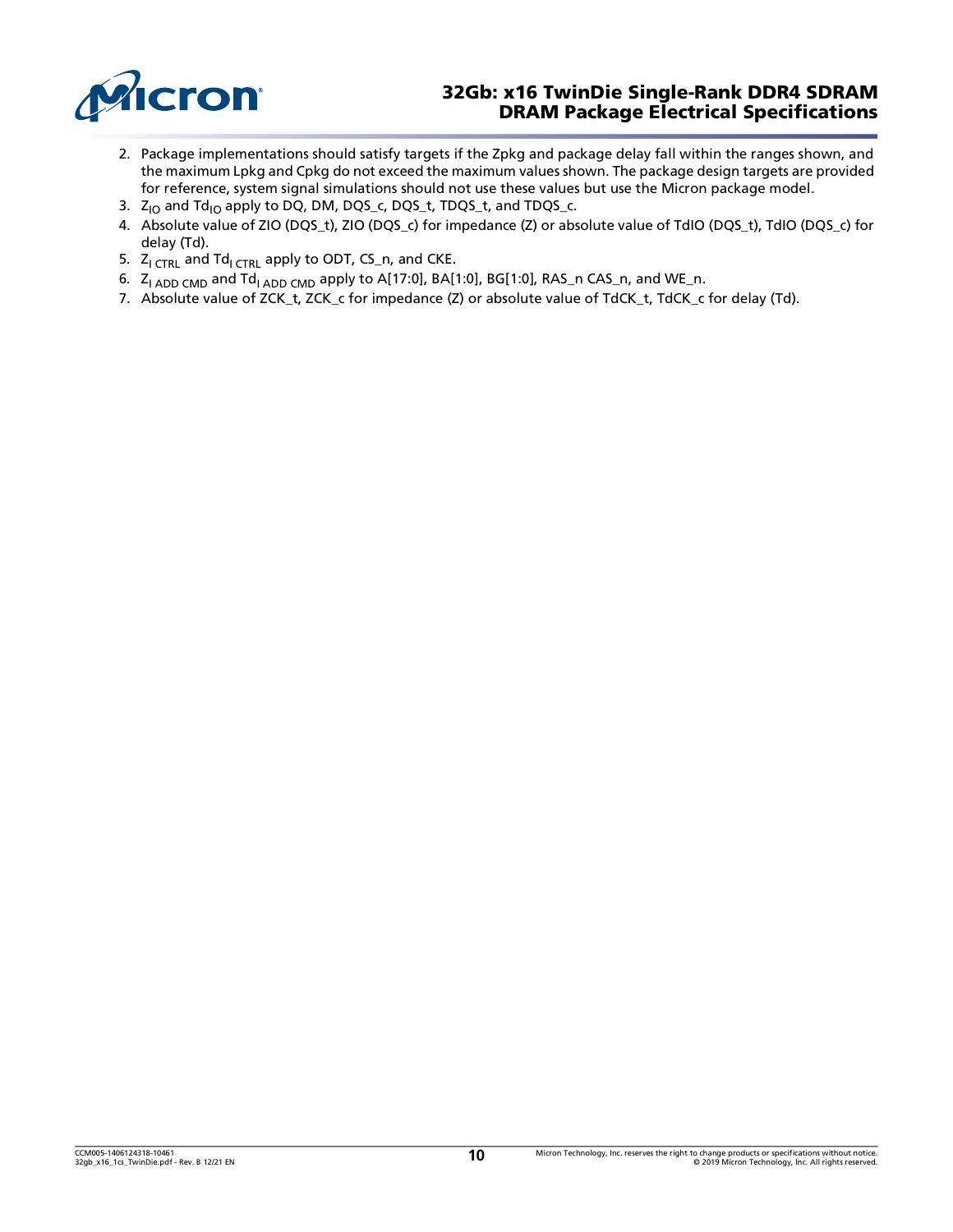

#### 32Gb: x16 TwinDie Single-Rank DDR4 SDRAM DRAM Package Electrical Specifications

- 2. Package implementations should satisfy targets if the Zpkg and package delay fall within the ranges shown, and the maximum Lpkg and Cpkg do not exceed the maximum values shown. The package design targets are provided for reference, system signal simulations should not use these values but use the Micron package model.
- <span id="page-9-0"></span>3.  $Z_{IO}$  and  $Td_{IO}$  apply to DQ, DM, DQS\_c, DQS\_t, TDQS\_t, and TDQS\_c.
- <span id="page-9-1"></span>4. Absolute value of ZIO (DQS\_t), ZIO (DQS\_c) for impedance (Z) or absolute value of TdIO (DQS\_t), TdIO (DQS\_c) for delay (Td).
- <span id="page-9-2"></span>5.  $Z_{\text{l}}$  CTRL and Td<sub>I CTRL</sub> apply to ODT, CS\_n, and CKE.
- <span id="page-9-3"></span>6.  $Z_{I \text{ ADD CMD}}$  and  $Td_{I \text{ ADD CMD}}$  apply to A[17:0], BA[1:0], BG[1:0], RAS\_n CAS\_n, and WE\_n.
- <span id="page-9-4"></span>7. Absolute value of ZCK\_t, ZCK\_c for impedance (Z) or absolute value of TdCK\_t, TdCK\_c for delay (Td).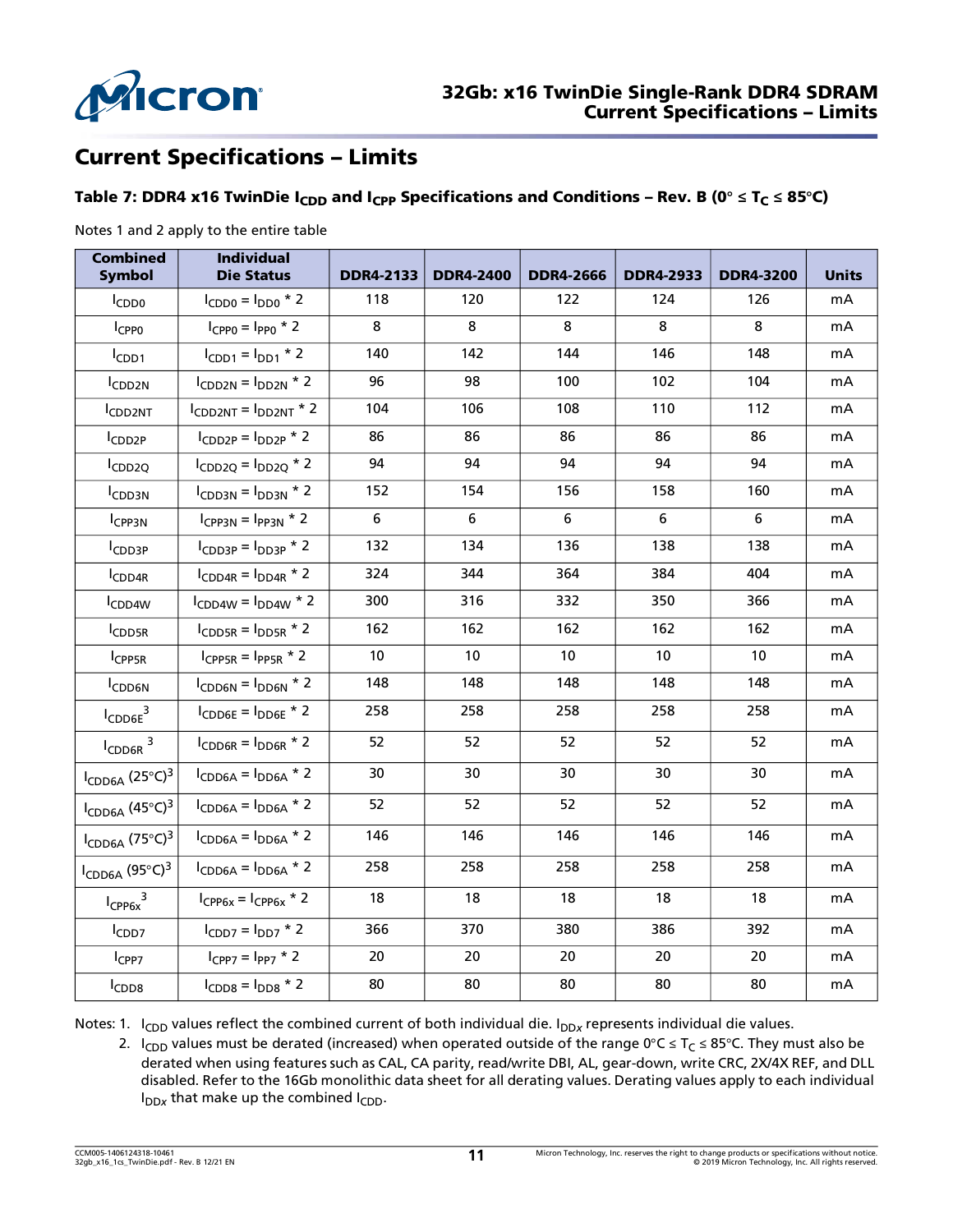

## Current Specifications – Limits

#### Table 7: DDR4 x16 TwinDie  $I_{CDD}$  and  $I_{CPP}$  Specifications and Conditions – Rev. B (0<sup>°</sup>  $\leq$  T<sub>C</sub>  $\leq$  85<sup>°</sup>C)

Notes 1 and 2 apply to the entire table

| <b>Combined</b><br><b>Symbol</b>       | <b>Individual</b><br><b>Die Status</b>   | <b>DDR4-2133</b> | <b>DDR4-2400</b> | <b>DDR4-2666</b> | <b>DDR4-2933</b> | <b>DDR4-3200</b> | <b>Units</b> |
|----------------------------------------|------------------------------------------|------------------|------------------|------------------|------------------|------------------|--------------|
| <b>ICDD0</b>                           | $I_{CDD0} = I_{DD0} * 2$                 | 118              | 120              | 122              | 124              | 126              | mA           |
| $I_{CPPO}$                             | $I_{CPPO} = I_{PPO} * 2$                 | 8                | 8                | 8                | 8                | 8                | mA           |
| I <sub>CDD1</sub>                      | $I_{CDD1} = I_{DD1} * 2$                 | 140              | 142              | 144              | 146              | 148              | mA           |
| CDD <sub>2N</sub>                      | $I_{CDD2N} = I_{DD2N} * 2$               | 96               | 98               | 100              | 102              | 104              | mA           |
| CDD <sub>2NT</sub>                     | $I_{CDD2NT} = I_{DD2NT} * 2$             | 104              | 106              | 108              | 110              | 112              | mA           |
| CDD <sub>2P</sub>                      | $I_{CDD2P} = I_{DD2P} * 2$               | 86               | 86               | 86               | 86               | 86               | mA           |
| ICDD <sub>2Q</sub>                     | $I_{CDD2Q} = I_{DD2Q}$ * 2               | 94               | 94               | 94               | 94               | 94               | mA           |
| <sup>I</sup> CDD3N                     | $ICDD3N = IDD3N * 2$                     | 152              | 154              | 156              | 158              | 160              | mA           |
| <sup>I</sup> CPP <sub>3N</sub>         | $I_{CPP3N} = I_{PP3N} * 2$               | $6\phantom{1}$   | 6                | 6                | 6                | $6\phantom{a}$   | mA           |
| ICDD3P                                 | $I_{CDD3P} = I_{DD3P} * 2$               | 132              | 134              | 136              | 138              | 138              | mA           |
| CDD <sub>4R</sub>                      | $I_{CDD4R} = I_{DD4R}$ * 2               | 324              | 344              | 364              | 384              | 404              | mA           |
| CDD4W                                  | $I_{CDD4W} = I_{DD4W}$ * 2               | 300              | 316              | 332              | 350              | 366              | mA           |
| <b>ICDD5R</b>                          | $ICDDSR = IDDSR * 2$                     | 162              | 162              | 162              | 162              | 162              | mA           |
| <sup>I</sup> CPP5R                     | $I_{CPPSR}$ = $I_{PPSR}$ * 2             | 10               | 10               | 10               | 10               | 10 <sup>°</sup>  | mA           |
| <b>ICDD6N</b>                          | $I_{CDD6N} = I_{DD6N}$ * 2               | 148              | 148              | 148              | 148              | 148              | mA           |
| $I_{\text{CDD6E}}^3$                   | $I_{\text{CDD6E}} = I_{\text{DD6E}} * 2$ | 258              | 258              | 258              | 258              | 258              | mA           |
| $I_{\text{CDD6R}}$ <sup>3</sup>        | $I_{CDD6R} = I_{DD6R}$ * 2               | 52               | 52               | 52               | 52               | 52               | mA           |
| $I_{\text{CDD6A}}$ (25°C) <sup>3</sup> | $I_{CDD6A} = I_{DD6A} * 2$               | 30               | 30               | 30               | 30               | 30               | mA           |
| $I_{\text{CDD6A}}$ (45°C) <sup>3</sup> | $I_{CDD6A} = I_{DD6A}$ * 2               | 52               | 52               | 52               | 52               | 52               | mA           |
| $I_{\text{CDD6A}}$ (75°C) <sup>3</sup> | $I_{CDD6A} = I_{DD6A} * 2$               | 146              | 146              | 146              | 146              | 146              | mA           |
| $I_{\text{CDD6A}}$ (95°C) <sup>3</sup> | $I_{CDD6A} = I_{DD6A}$ * 2               | 258              | 258              | 258              | 258              | 258              | mA           |
| $I_{CPP6x}$ <sup>3</sup>               | $I_{CPP6x} = I_{CPP6x}$ * 2              | 18               | 18               | 18               | 18               | 18               | mA           |
| I <sub>CDD7</sub>                      | $I_{CDD7} = I_{DD7} * 2$                 | 366              | 370              | 380              | 386              | 392              | mA           |
| $I_{CPP7}$                             | $I_{CPP7} = I_{PP7} * 2$                 | 20               | 20               | 20               | 20               | 20               | mA           |
| I <sub>CDD8</sub>                      | $ICDD8 = IDD8 * 2$                       | 80               | 80               | 80               | 80               | 80               | mA           |

Notes: 1. I<sub>CDD</sub> values reflect the combined current of both individual die. I<sub>DDx</sub> represents individual die values.

2. I<sub>CDD</sub> values must be derated (increased) when operated outside of the range 0°C ≤ T<sub>C</sub> ≤ 85°C. They must also be derated when using features such as CAL, CA parity, read/write DBI, AL, gear-down, write CRC, 2X/4X REF, and DLL disabled. Refer to the 16Gb monolithic data sheet for all derating values. Derating values apply to each individual  $I_{DDx}$  that make up the combined  $I_{CDD}$ .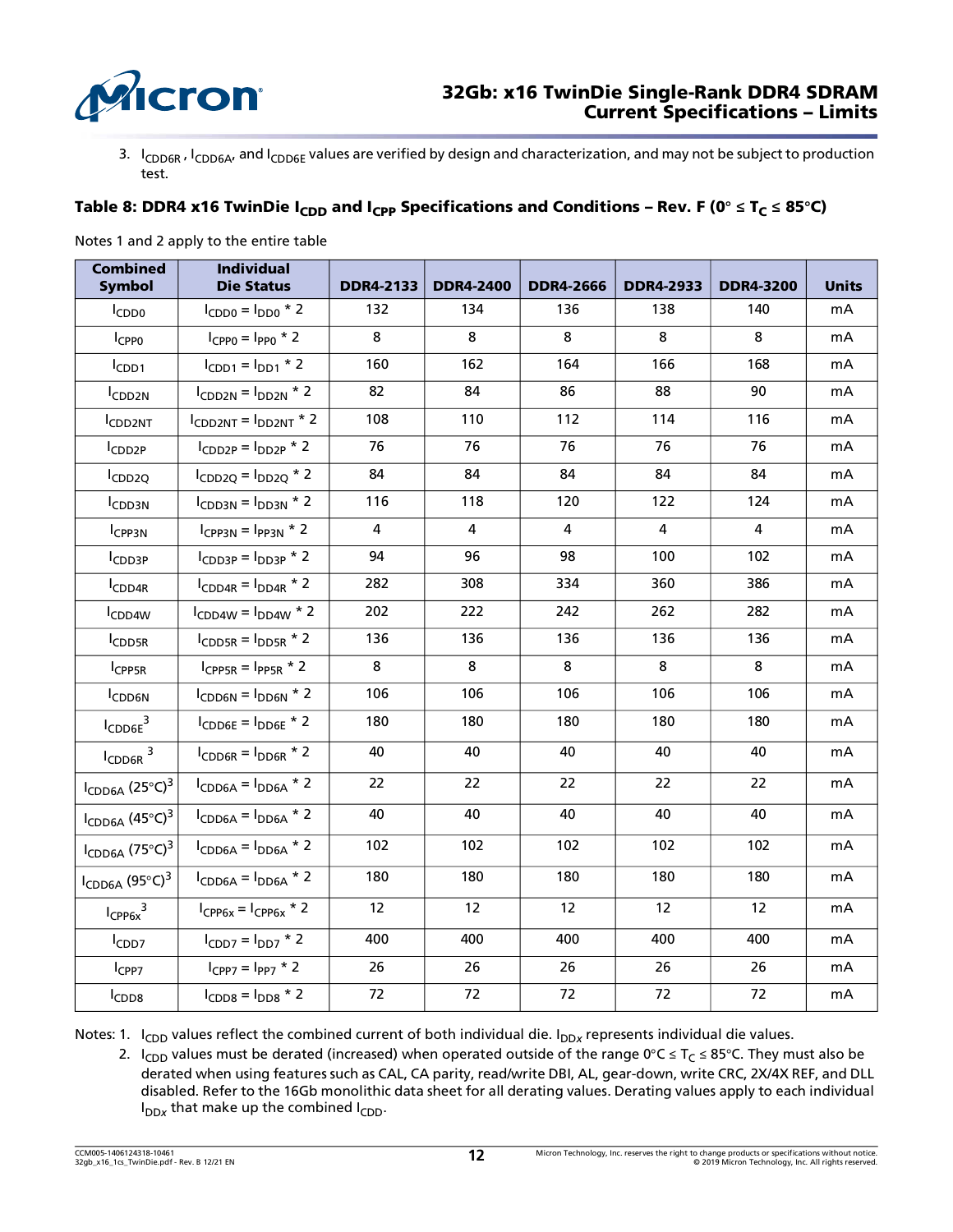

3. I<sub>CDD6R</sub>, I<sub>CDD6A</sub>, and I<sub>CDD6E</sub> values are verified by design and characterization, and may not be subject to production test.

#### Table 8: DDR4 x16 TwinDie  $I_{CDD}$  and  $I_{CPP}$  Specifications and Conditions – Rev. F (0<sup>°</sup>  $\leq$  T<sub>C</sub>  $\leq$  85<sup>°</sup>C)

Notes 1 and 2 apply to the entire table

| <b>Combined</b><br><b>Symbol</b>       | <b>Individual</b><br><b>Die Status</b>   | <b>DDR4-2133</b> | <b>DDR4-2400</b> | <b>DDR4-2666</b> | <b>DDR4-2933</b> | <b>DDR4-3200</b> | <b>Units</b> |
|----------------------------------------|------------------------------------------|------------------|------------------|------------------|------------------|------------------|--------------|
| $I_{CDD0}$                             | $I_{CDD0} = I_{DD0} * 2$                 | 132              | 134              | 136              | 138              | 140              | mA           |
| $I_{CPPO}$                             | $I_{CPP0} = I_{PP0} * 2$                 | 8                | 8                | 8                | 8                | 8                | mA           |
| $I_{CDD1}$                             | $I_{CDD1} = I_{DD1} * 2$                 | 160              | 162              | 164              | 166              | 168              | mA           |
| ICDD <sub>2N</sub>                     | $ICDD2N = IDD2N * 2$                     | 82               | 84               | 86               | 88               | 90               | mA           |
| CDD <sub>2NT</sub>                     | $I_{CDD2NT} = I_{DD2NT} * 2$             | 108              | 110              | 112              | 114              | 116              | mA           |
| CDD <sub>2P</sub>                      | $I_{CDD2P} = I_{DD2P} * 2$               | 76               | 76               | 76               | 76               | 76               | mA           |
| ICDD <sub>2Q</sub>                     | $I_{CDD2Q} = I_{DD2Q}$ * 2               | 84               | 84               | 84               | 84               | 84               | mA           |
| I <sub>CDD3N</sub>                     | $ICDD3N = IDD3N * 2$                     | 116              | 118              | 120              | 122              | 124              | mA           |
| <sup>I</sup> CPP <sub>3N</sub>         | $I_{CPP3N} = I_{PP3N} * 2$               | 4                | 4                | 4                | 4                | 4                | mA           |
| ICDD3P                                 | $I_{CDD3P} = I_{DD3P} * 2$               | 94               | 96               | 98               | 100              | 102              | mA           |
| I <sub>CDD4R</sub>                     | $I_{CDD4R} = I_{DD4R}$ * 2               | 282              | 308              | 334              | 360              | 386              | mA           |
| I <sub>CDD4W</sub>                     | $I_{CDD4W} = I_{DD4W}$ * 2               | 202              | 222              | 242              | 262              | 282              | mA           |
| ICDD5R                                 | $ICDDSR = IDDSR * 2$                     | 136              | 136              | 136              | 136              | 136              | mA           |
| I <sub>CPP5R</sub>                     | $I_{CPPSR}$ = $I_{PPSR}$ * 2             | 8                | 8                | 8                | 8                | 8                | mA           |
| <b>ICDD6N</b>                          | $I_{CDD6N} = I_{DD6N} * 2$               | 106              | 106              | 106              | 106              | 106              | mA           |
| $I_{\text{CDD6E}}^3$                   | $I_{\text{CDD6E}} = I_{\text{DD6E}} * 2$ | 180              | 180              | 180              | 180              | 180              | mA           |
| $I_{\text{CDD6R}}$ <sup>3</sup>        | $ICDD6R = IDD6R * 2$                     | 40               | 40               | 40               | 40               | 40               | mA           |
| $I_{\text{CDD6A}}$ (25°C) <sup>3</sup> | $I_{CDD6A} = I_{DD6A} * 2$               | 22               | 22               | 22               | 22               | 22               | mA           |
| $I_{\text{CDD6A}}$ (45°C) <sup>3</sup> | $I_{CDD6A} = I_{DD6A} * 2$               | 40               | 40               | 40               | 40               | 40               | mA           |
| $I_{CDD6A}$ (75°C) <sup>3</sup>        | $I_{CDD6A} = I_{DD6A} * 2$               | 102              | 102              | 102              | 102              | 102              | mA           |
| $I_{\text{CDD6A}}$ (95°C) <sup>3</sup> | $I_{CDD6A} = I_{DD6A}$ * 2               | 180              | 180              | 180              | 180              | 180              | mA           |
| $I_{CPP6x}$ <sup>3</sup>               | $I_{CPP6x} = I_{CPP6x}$ * 2              | 12 <sup>2</sup>  | 12               | 12               | 12               | 12               | mA           |
| I <sub>CDD7</sub>                      | $I_{CDD7} = I_{DD7} * 2$                 | 400              | 400              | 400              | 400              | 400              | mA           |
| $I_{CPP7}$                             | $I_{CPP7} = I_{PP7} * 2$                 | 26               | 26               | 26               | 26               | 26               | mA           |
| I <sub>CDD8</sub>                      | $ICDD8 = IDD8 * 2$                       | 72               | 72               | 72               | 72               | 72               | mA           |

Notes: 1. I<sub>CDD</sub> values reflect the combined current of both individual die. I<sub>DDx</sub> represents individual die values.

2. I<sub>CDD</sub> values must be derated (increased) when operated outside of the range 0°C ≤ T<sub>C</sub> ≤ 85°C. They must also be derated when using features such as CAL, CA parity, read/write DBI, AL, gear-down, write CRC, 2X/4X REF, and DLL disabled. Refer to the 16Gb monolithic data sheet for all derating values. Derating values apply to each individual  $I_{DDx}$  that make up the combined  $I_{CDD}$ .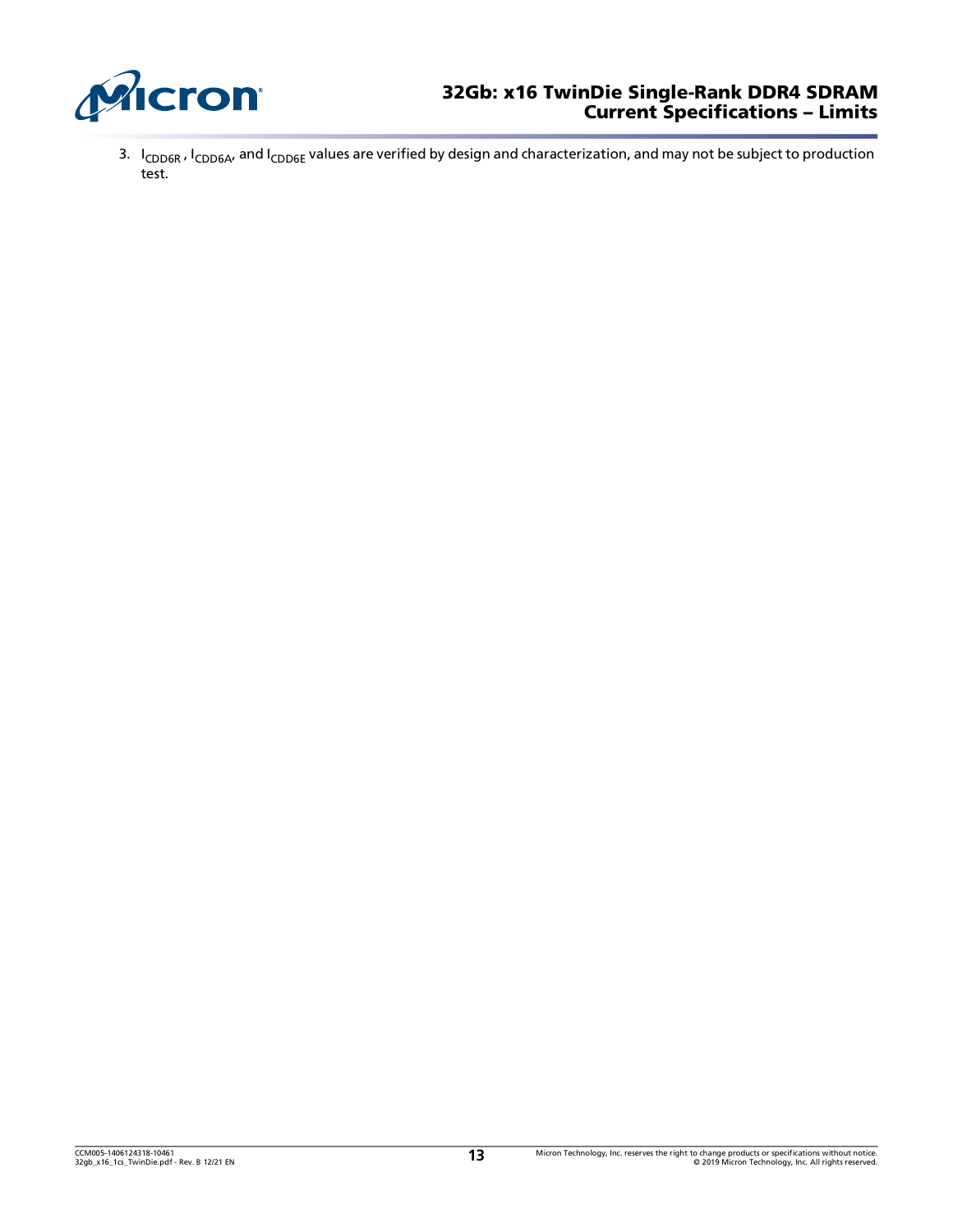

### 32Gb: x16 TwinDie Single-Rank DDR4 SDRAM Current Specifications – Limits

3. I<sub>CDD6R</sub>, I<sub>CDD6A</sub>, and I<sub>CDD6E</sub> values are verified by design and characterization, and may not be subject to production test.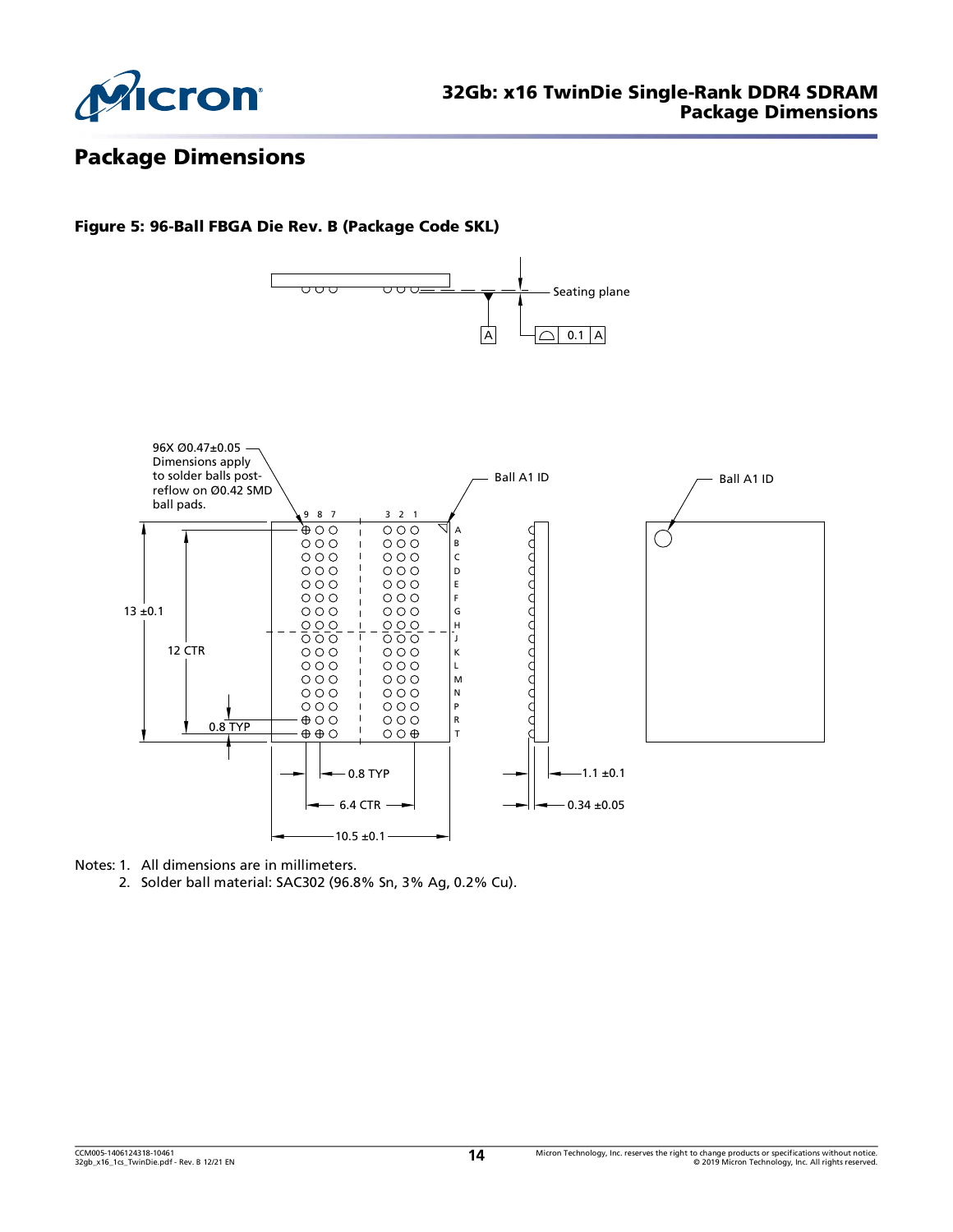

## Package Dimensions

#### Figure 5: 96-Ball FBGA Die Rev. B (Package Code SKL)



Notes: 1. All dimensions are in millimeters.

2. Solder ball material: SAC302 (96.8% Sn, 3% Ag, 0.2% Cu).